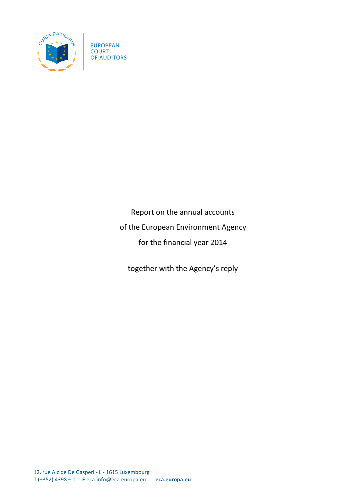

**EUROPEAN COURT** OF AUDITORS

> Report on the annual accounts of the European Environment Agency for the financial year 2014

together with the Agency's reply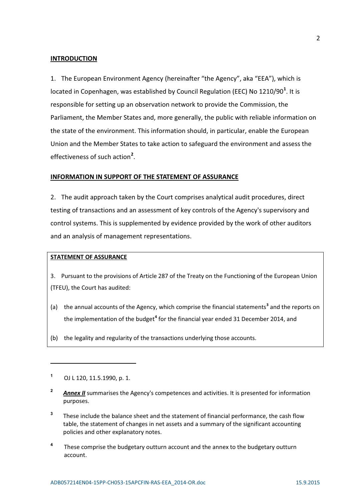#### **INTRODUCTION**

1. The European Environment Agency (hereinafter "the Agency", aka "EEA"), which is located in Copenhagen, was established by Council Regulation (EEC) No 1210/90**<sup>1</sup>** . It is responsible for setting up an observation network to provide the Commission, the Parliament, the Member States and, more generally, the public with reliable information on the state of the environment. This information should, in particular, enable the European Union and the Member States to take action to safeguard the environment and assess the effectiveness of such action**<sup>2</sup>** .

#### **INFORMATION IN SUPPORT OF THE STATEMENT OF ASSURANCE**

2. The audit approach taken by the Court comprises analytical audit procedures, direct testing of transactions and an assessment of key controls of the Agency's supervisory and control systems. This is supplemented by evidence provided by the work of other auditors and an analysis of management representations.

### **STATEMENT OF ASSURANCE**

3. Pursuant to the provisions of Article 287 of the Treaty on the Functioning of the European Union (TFEU), the Court has audited:

- (a) the annual accounts of the Agency, which comprise the financial statements**<sup>3</sup>** and the reports on the implementation of the budget<sup>4</sup> for the financial year ended 31 December 2014, and
- (b) the legality and regularity of the transactions underlying those accounts.

<u>.</u>

- <sup>2</sup> **Annex II** summarises the Agency's competences and activities. It is presented for information purposes.
- **3** These include the balance sheet and the statement of financial performance, the cash flow table, the statement of changes in net assets and a summary of the significant accounting policies and other explanatory notes.
- **4** These comprise the budgetary outturn account and the annex to the budgetary outturn account.

**<sup>1</sup>** OJ L 120, 11.5.1990, p. 1.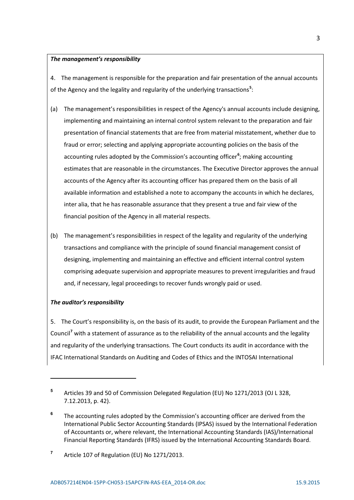#### *The management's responsibility*

4. The management is responsible for the preparation and fair presentation of the annual accounts of the Agency and the legality and regularity of the underlying transactions<sup>5</sup>:

- (a) The management's responsibilities in respect of the Agency's annual accounts include designing, implementing and maintaining an internal control system relevant to the preparation and fair presentation of financial statements that are free from material misstatement, whether due to fraud or error; selecting and applying appropriate accounting policies on the basis of the accounting rules adopted by the Commission's accounting officer<sup>6</sup>; making accounting estimates that are reasonable in the circumstances. The Executive Director approves the annual accounts of the Agency after its accounting officer has prepared them on the basis of all available information and established a note to accompany the accounts in which he declares, inter alia, that he has reasonable assurance that they present a true and fair view of the financial position of the Agency in all material respects.
- (b) The management's responsibilities in respect of the legality and regularity of the underlying transactions and compliance with the principle of sound financial management consist of designing, implementing and maintaining an effective and efficient internal control system comprising adequate supervision and appropriate measures to prevent irregularities and fraud and, if necessary, legal proceedings to recover funds wrongly paid or used.

### *The auditor's responsibility*

<u>.</u>

5. The Court's responsibility is, on the basis of its audit, to provide the European Parliament and the Council**<sup>7</sup>** with a statement of assurance as to the reliability of the annual accounts and the legality and regularity of the underlying transactions. The Court conducts its audit in accordance with the IFAC International Standards on Auditing and Codes of Ethics and the INTOSAI International

**<sup>5</sup>** Articles 39 and 50 of Commission Delegated Regulation (EU) No 1271/2013 (OJ L 328, 7.12.2013, p. 42).

**<sup>6</sup>** The accounting rules adopted by the Commission's accounting officer are derived from the International Public Sector Accounting Standards (IPSAS) issued by the International Federation of Accountants or, where relevant, the International Accounting Standards (IAS)/International Financial Reporting Standards (IFRS) issued by the International Accounting Standards Board.

**<sup>7</sup>** Article 107 of Regulation (EU) No 1271/2013.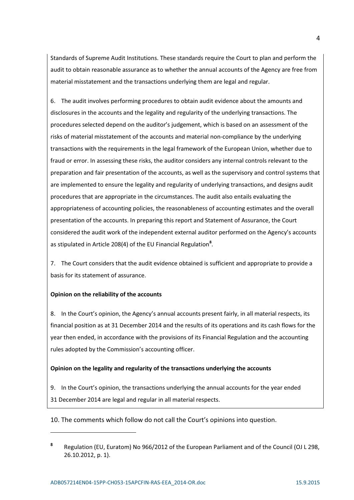Standards of Supreme Audit Institutions. These standards require the Court to plan and perform the audit to obtain reasonable assurance as to whether the annual accounts of the Agency are free from material misstatement and the transactions underlying them are legal and regular.

6. The audit involves performing procedures to obtain audit evidence about the amounts and disclosures in the accounts and the legality and regularity of the underlying transactions. The procedures selected depend on the auditor's judgement, which is based on an assessment of the risks of material misstatement of the accounts and material non-compliance by the underlying transactions with the requirements in the legal framework of the European Union, whether due to fraud or error. In assessing these risks, the auditor considers any internal controls relevant to the preparation and fair presentation of the accounts, as well as the supervisory and control systems that are implemented to ensure the legality and regularity of underlying transactions, and designs audit procedures that are appropriate in the circumstances. The audit also entails evaluating the appropriateness of accounting policies, the reasonableness of accounting estimates and the overall presentation of the accounts. In preparing this report and Statement of Assurance, the Court considered the audit work of the independent external auditor performed on the Agency's accounts as stipulated in Article 208(4) of the EU Financial Regulation**<sup>8</sup>** .

7. The Court considers that the audit evidence obtained is sufficient and appropriate to provide a basis for its statement of assurance.

## **Opinion on the reliability of the accounts**

<u>.</u>

8. In the Court's opinion, the Agency's annual accounts present fairly, in all material respects, its financial position as at 31 December 2014 and the results of its operations and its cash flows for the year then ended, in accordance with the provisions of its Financial Regulation and the accounting rules adopted by the Commission's accounting officer.

### **Opinion on the legality and regularity of the transactions underlying the accounts**

9. In the Court's opinion, the transactions underlying the annual accounts for the year ended 31 December 2014 are legal and regular in all material respects.

10. The comments which follow do not call the Court's opinions into question.

**<sup>8</sup>** Regulation (EU, Euratom) No 966/2012 of the European Parliament and of the Council (OJ L 298, 26.10.2012, p. 1).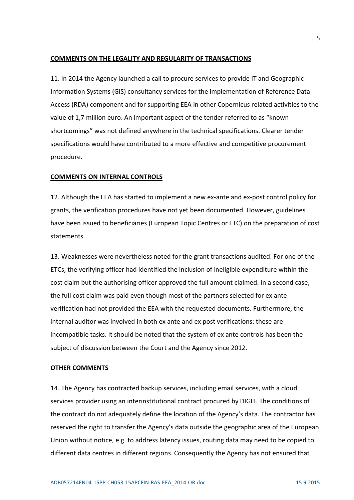## **COMMENTS ON THE LEGALITY AND REGULARITY OF TRANSACTIONS**

11. In 2014 the Agency launched a call to procure services to provide IT and Geographic Information Systems (GIS) consultancy services for the implementation of Reference Data Access (RDA) component and for supporting EEA in other Copernicus related activities to the value of 1,7 million euro. An important aspect of the tender referred to as "known shortcomings" was not defined anywhere in the technical specifications. Clearer tender specifications would have contributed to a more effective and competitive procurement procedure.

## **COMMENTS ON INTERNAL CONTROLS**

12. Although the EEA has started to implement a new ex-ante and ex-post control policy for grants, the verification procedures have not yet been documented. However, guidelines have been issued to beneficiaries (European Topic Centres or ETC) on the preparation of cost statements.

13. Weaknesses were nevertheless noted for the grant transactions audited. For one of the ETCs, the verifying officer had identified the inclusion of ineligible expenditure within the cost claim but the authorising officer approved the full amount claimed. In a second case, the full cost claim was paid even though most of the partners selected for ex ante verification had not provided the EEA with the requested documents. Furthermore, the internal auditor was involved in both ex ante and ex post verifications: these are incompatible tasks. It should be noted that the system of ex ante controls has been the subject of discussion between the Court and the Agency since 2012.

## **OTHER COMMENTS**

14. The Agency has contracted backup services, including email services, with a cloud services provider using an interinstitutional contract procured by DIGIT. The conditions of the contract do not adequately define the location of the Agency's data. The contractor has reserved the right to transfer the Agency's data outside the geographic area of the European Union without notice, e.g. to address latency issues, routing data may need to be copied to different data centres in different regions. Consequently the Agency has not ensured that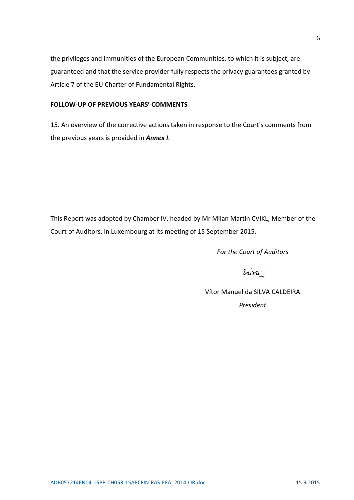the privileges and immunities of the European Communities, to which it is subject, are guaranteed and that the service provider fully respects the privacy guarantees granted by Article 7 of the EU Charter of Fundamental Rights.

# **FOLLOW-UP OF PREVIOUS YEARS' COMMENTS**

15. An overview of the corrective actions taken in response to the Court's comments from the previous years is provided in *Annex I*.

This Report was adopted by Chamber IV, headed by Mr Milan Martin CVIKL, Member of the Court of Auditors, in Luxembourg at its meeting of 15 September 2015.

*For the Court of Auditors*

hion.

 Vítor Manuel da SILVA CALDEIRA *President*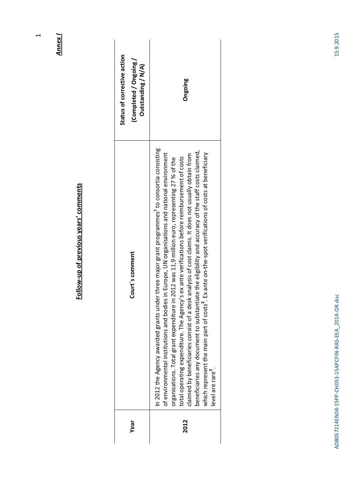| Status of corrective action<br>Completed / Ongoing<br>Outstanding / N/A) | Ongoing                                                                                                                                                                                                                                                                                                                                                                                                                                                                                                                                                                                                                                                                                                                                                                        |
|--------------------------------------------------------------------------|--------------------------------------------------------------------------------------------------------------------------------------------------------------------------------------------------------------------------------------------------------------------------------------------------------------------------------------------------------------------------------------------------------------------------------------------------------------------------------------------------------------------------------------------------------------------------------------------------------------------------------------------------------------------------------------------------------------------------------------------------------------------------------|
| Court's comment                                                          | In 2012 the Agency awarded grants under three major grant programmes <sup>+</sup> to consortia consisting<br>beneficiaries any document to substantiate the eligibility and accuracy of the staff costs claimed,<br>which represent the main part of costs <sup>2</sup> . Ex ante on-the-spot verifications of costs at beneficiary<br>of environmental institutions and bodies in Europe, UN organisations and national environment<br>claimed by beneficiaries consist of a desk analysis of cost claims. It does not usually obtain from<br>total operating expenditure. The Agency's ex ante verifications before reimbursement of costs<br>organisations. Total grant expenditure in 2012 was 11,9 million euro, representing 27 % of the<br>evel are rare <sup>9</sup> . |
| Year                                                                     | 2012                                                                                                                                                                                                                                                                                                                                                                                                                                                                                                                                                                                                                                                                                                                                                                           |

Follow-up of previous years' comments **Follow-up of previous years' comments** 

**Annex I** *Annex I* 

 $\overline{1}$ 

 $\overline{a}$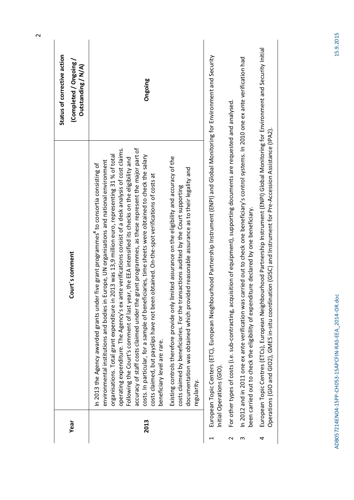|        | in Europe, UN organisations and national environment<br>In 2013 the Agency awarded grants under five grant programmes <sup>4</sup> to consortia consisting of<br>environmental institutions and bodies i                                                                                                                                                                                                                                                                                                                                                                                                                                               | Outstanding / N/A) |
|--------|--------------------------------------------------------------------------------------------------------------------------------------------------------------------------------------------------------------------------------------------------------------------------------------------------------------------------------------------------------------------------------------------------------------------------------------------------------------------------------------------------------------------------------------------------------------------------------------------------------------------------------------------------------|--------------------|
| 2013   | accuracy of staff costs claimed under the grant programmes, as these represent the major part of<br>operating expenditure. The Agency's ex ante verifications consist of a desk analysis of cost claims.<br>in 2013 was 13,9 million euro, representing 31 % of total<br>costs. In particular, for a sample of beneficiaries, time sheets were obtained to check the salary<br>Following the Court's comment of last year, the EEA intensified its checks on the eligibility and<br>costs claimed, but payslips have not been obtained. On-the-spot verifications of costs at<br>organisations. Total grant expenditure<br>beneficiary level are rare. | Ongoing            |
|        | Existing controls therefore provide only limited assurance on the eligibility and accuracy of the<br>documentation was obtained which provided reasonable assurance as to their legality and<br>transactions audited by the Court supporting<br>costs claimed by beneficiaries. For the<br>regularity.                                                                                                                                                                                                                                                                                                                                                 |                    |
|        | European Topic Centers (ETC), European Neighbourhood Partnership Instrument (ENPI) and Global Monitoring for Environment and Security<br>Initial Operations (GIO).                                                                                                                                                                                                                                                                                                                                                                                                                                                                                     |                    |
| $\sim$ | For other types of costs (i.e. sub-contracting, acquisition of equipment), supporting documents are requested and analysed.                                                                                                                                                                                                                                                                                                                                                                                                                                                                                                                            |                    |
| m      | is carried out to check one beneficiary's control systems. In 2010 one ex ante verification had<br>been carried out to check the eligibility of expenditure declared by one beneficiary.<br>In 2012 and in 2011 one ex ante verification wa                                                                                                                                                                                                                                                                                                                                                                                                            |                    |
| 4      | European Topic Centres (ETCs), European Neighbourhood Partnership Instrument (ENPI) Global Monitoring for Environment and Security Initial<br>Operations (GIO and GIO2), GMES in-situ coordination (GISC) and Instrument for Pre-Accession Assistance (IPA2).                                                                                                                                                                                                                                                                                                                                                                                          |                    |
|        |                                                                                                                                                                                                                                                                                                                                                                                                                                                                                                                                                                                                                                                        |                    |

 $\overline{\phantom{a}}$ 

 $\sim$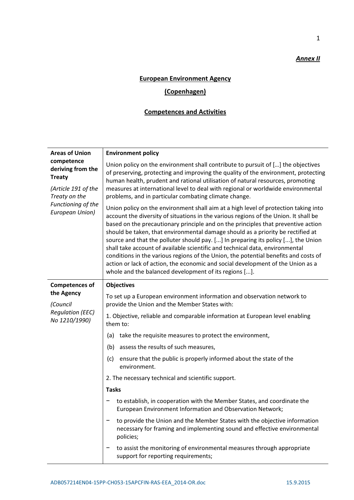# *Annex II*

1

## **European Environment Agency**

# **(Copenhagen)**

# **Competences and Activities**

| <b>Areas of Union</b>                                                                                                             | <b>Environment policy</b>                                                                                                                                                                                                                                                                                                                                                                                                                                                                                                                                                                                                                                                                                                                                   |  |  |
|-----------------------------------------------------------------------------------------------------------------------------------|-------------------------------------------------------------------------------------------------------------------------------------------------------------------------------------------------------------------------------------------------------------------------------------------------------------------------------------------------------------------------------------------------------------------------------------------------------------------------------------------------------------------------------------------------------------------------------------------------------------------------------------------------------------------------------------------------------------------------------------------------------------|--|--|
| competence<br>deriving from the<br><b>Treaty</b><br>(Article 191 of the<br>Treaty on the<br>Functioning of the<br>European Union) | Union policy on the environment shall contribute to pursuit of [] the objectives<br>of preserving, protecting and improving the quality of the environment, protecting<br>human health, prudent and rational utilisation of natural resources, promoting<br>measures at international level to deal with regional or worldwide environmental<br>problems, and in particular combating climate change.                                                                                                                                                                                                                                                                                                                                                       |  |  |
|                                                                                                                                   | Union policy on the environment shall aim at a high level of protection taking into<br>account the diversity of situations in the various regions of the Union. It shall be<br>based on the precautionary principle and on the principles that preventive action<br>should be taken, that environmental damage should as a priority be rectified at<br>source and that the polluter should pay. [] In preparing its policy [], the Union<br>shall take account of available scientific and technical data, environmental<br>conditions in the various regions of the Union, the potential benefits and costs of<br>action or lack of action, the economic and social development of the Union as a<br>whole and the balanced development of its regions []. |  |  |
| <b>Competences of</b>                                                                                                             | <b>Objectives</b>                                                                                                                                                                                                                                                                                                                                                                                                                                                                                                                                                                                                                                                                                                                                           |  |  |
| the Agency<br>(Council<br><b>Regulation (EEC)</b><br>No 1210/1990)                                                                | To set up a European environment information and observation network to<br>provide the Union and the Member States with:                                                                                                                                                                                                                                                                                                                                                                                                                                                                                                                                                                                                                                    |  |  |
|                                                                                                                                   | 1. Objective, reliable and comparable information at European level enabling<br>them to:                                                                                                                                                                                                                                                                                                                                                                                                                                                                                                                                                                                                                                                                    |  |  |
|                                                                                                                                   | take the requisite measures to protect the environment,<br>(a)                                                                                                                                                                                                                                                                                                                                                                                                                                                                                                                                                                                                                                                                                              |  |  |
|                                                                                                                                   | assess the results of such measures,<br>(b)                                                                                                                                                                                                                                                                                                                                                                                                                                                                                                                                                                                                                                                                                                                 |  |  |
|                                                                                                                                   | (c)<br>ensure that the public is properly informed about the state of the<br>environment.                                                                                                                                                                                                                                                                                                                                                                                                                                                                                                                                                                                                                                                                   |  |  |
|                                                                                                                                   | 2. The necessary technical and scientific support.                                                                                                                                                                                                                                                                                                                                                                                                                                                                                                                                                                                                                                                                                                          |  |  |
|                                                                                                                                   | <b>Tasks</b>                                                                                                                                                                                                                                                                                                                                                                                                                                                                                                                                                                                                                                                                                                                                                |  |  |
|                                                                                                                                   | to establish, in cooperation with the Member States, and coordinate the<br>European Environment Information and Observation Network;                                                                                                                                                                                                                                                                                                                                                                                                                                                                                                                                                                                                                        |  |  |
|                                                                                                                                   | to provide the Union and the Member States with the objective information<br>necessary for framing and implementing sound and effective environmental<br>policies;                                                                                                                                                                                                                                                                                                                                                                                                                                                                                                                                                                                          |  |  |
|                                                                                                                                   | to assist the monitoring of environmental measures through appropriate<br>support for reporting requirements;                                                                                                                                                                                                                                                                                                                                                                                                                                                                                                                                                                                                                                               |  |  |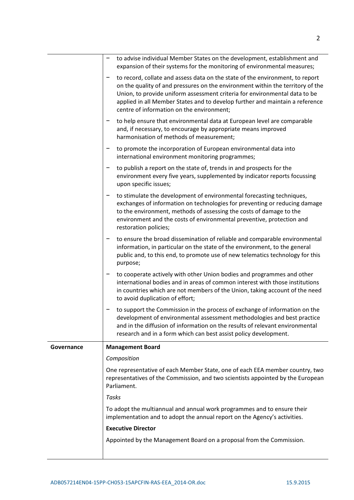|            | to advise individual Member States on the development, establishment and<br>-<br>expansion of their systems for the monitoring of environmental measures;                                                                                                                                                                                                                  |  |  |
|------------|----------------------------------------------------------------------------------------------------------------------------------------------------------------------------------------------------------------------------------------------------------------------------------------------------------------------------------------------------------------------------|--|--|
|            | to record, collate and assess data on the state of the environment, to report<br>on the quality of and pressures on the environment within the territory of the<br>Union, to provide uniform assessment criteria for environmental data to be<br>applied in all Member States and to develop further and maintain a reference<br>centre of information on the environment; |  |  |
|            | to help ensure that environmental data at European level are comparable<br>and, if necessary, to encourage by appropriate means improved<br>harmonisation of methods of measurement;                                                                                                                                                                                       |  |  |
|            | to promote the incorporation of European environmental data into<br>-<br>international environment monitoring programmes;                                                                                                                                                                                                                                                  |  |  |
|            | to publish a report on the state of, trends in and prospects for the<br>-<br>environment every five years, supplemented by indicator reports focussing<br>upon specific issues;                                                                                                                                                                                            |  |  |
|            | to stimulate the development of environmental forecasting techniques,<br>exchanges of information on technologies for preventing or reducing damage<br>to the environment, methods of assessing the costs of damage to the<br>environment and the costs of environmental preventive, protection and<br>restoration policies;                                               |  |  |
|            | to ensure the broad dissemination of reliable and comparable environmental<br>information, in particular on the state of the environment, to the general<br>public and, to this end, to promote use of new telematics technology for this<br>purpose;                                                                                                                      |  |  |
|            | to cooperate actively with other Union bodies and programmes and other<br>international bodies and in areas of common interest with those institutions<br>in countries which are not members of the Union, taking account of the need<br>to avoid duplication of effort;                                                                                                   |  |  |
|            | to support the Commission in the process of exchange of information on the<br>development of environmental assessment methodologies and best practice<br>and in the diffusion of information on the results of relevant environmental<br>research and in a form which can best assist policy development.                                                                  |  |  |
| Governance | <b>Management Board</b>                                                                                                                                                                                                                                                                                                                                                    |  |  |
|            | Composition<br>One representative of each Member State, one of each EEA member country, two<br>representatives of the Commission, and two scientists appointed by the European<br>Parliament.<br>Tasks                                                                                                                                                                     |  |  |
|            |                                                                                                                                                                                                                                                                                                                                                                            |  |  |
|            |                                                                                                                                                                                                                                                                                                                                                                            |  |  |
|            | To adopt the multiannual and annual work programmes and to ensure their<br>implementation and to adopt the annual report on the Agency's activities.<br><b>Executive Director</b>                                                                                                                                                                                          |  |  |
|            |                                                                                                                                                                                                                                                                                                                                                                            |  |  |
|            | Appointed by the Management Board on a proposal from the Commission.                                                                                                                                                                                                                                                                                                       |  |  |
|            |                                                                                                                                                                                                                                                                                                                                                                            |  |  |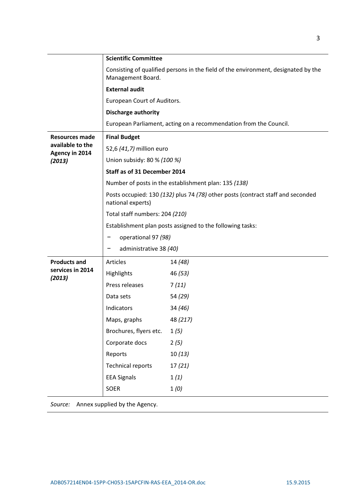|                                           | <b>Scientific Committee</b>                                                                                                                                                                         |          |  |
|-------------------------------------------|-----------------------------------------------------------------------------------------------------------------------------------------------------------------------------------------------------|----------|--|
|                                           | Consisting of qualified persons in the field of the environment, designated by the<br>Management Board.                                                                                             |          |  |
|                                           | <b>External audit</b>                                                                                                                                                                               |          |  |
|                                           | European Court of Auditors.                                                                                                                                                                         |          |  |
|                                           | <b>Discharge authority</b>                                                                                                                                                                          |          |  |
|                                           | European Parliament, acting on a recommendation from the Council.                                                                                                                                   |          |  |
| <b>Resources made</b>                     | <b>Final Budget</b>                                                                                                                                                                                 |          |  |
| available to the<br><b>Agency in 2014</b> | 52,6 (41,7) million euro                                                                                                                                                                            |          |  |
| (2013)                                    | Union subsidy: 80 % (100 %)                                                                                                                                                                         |          |  |
|                                           | Staff as of 31 December 2014                                                                                                                                                                        |          |  |
|                                           | Number of posts in the establishment plan: 135 (138)                                                                                                                                                |          |  |
|                                           | Posts occupied: 130 (132) plus 74 (78) other posts (contract staff and seconded<br>national experts)<br>Total staff numbers: 204 (210)<br>Establishment plan posts assigned to the following tasks: |          |  |
|                                           |                                                                                                                                                                                                     |          |  |
|                                           |                                                                                                                                                                                                     |          |  |
|                                           | operational 97 (98)                                                                                                                                                                                 |          |  |
|                                           | administrative 38 (40)<br>-                                                                                                                                                                         |          |  |
| <b>Products and</b>                       | Articles                                                                                                                                                                                            | 14 (48)  |  |
| services in 2014<br>(2013)                | Highlights                                                                                                                                                                                          | 46 (53)  |  |
|                                           | Press releases                                                                                                                                                                                      | 7(11)    |  |
|                                           | Data sets                                                                                                                                                                                           | 54 (29)  |  |
|                                           | Indicators                                                                                                                                                                                          | 34 (46)  |  |
|                                           | Maps, graphs                                                                                                                                                                                        | 48 (217) |  |
|                                           | Brochures, flyers etc.                                                                                                                                                                              | 1(5)     |  |
|                                           | Corporate docs                                                                                                                                                                                      | 2(5)     |  |
|                                           | Reports                                                                                                                                                                                             | 10(13)   |  |
|                                           | <b>Technical reports</b>                                                                                                                                                                            | 17(21)   |  |
|                                           | <b>EEA Signals</b>                                                                                                                                                                                  | 1(1)     |  |
|                                           | SOER                                                                                                                                                                                                | 1(0)     |  |

*Source:* Annex supplied by the Agency.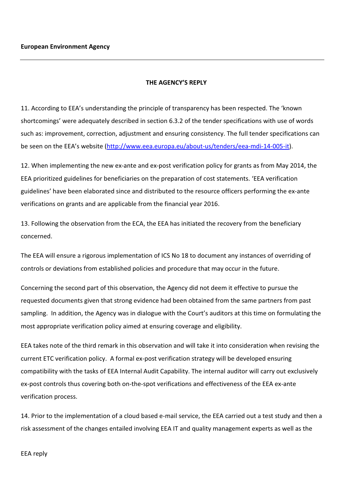## **THE AGENCY'S REPLY**

11. According to EEA's understanding the principle of transparency has been respected. The 'known shortcomings' were adequately described in section 6.3.2 of the tender specifications with use of words such as: improvement, correction, adjustment and ensuring consistency. The full tender specifications can be seen on the EEA's website (http://www.eea.europa.eu/about-us/tenders/eea-mdi-14-005-it).

12. When implementing the new ex-ante and ex-post verification policy for grants as from May 2014, the EEA prioritized guidelines for beneficiaries on the preparation of cost statements. 'EEA verification guidelines' have been elaborated since and distributed to the resource officers performing the ex-ante verifications on grants and are applicable from the financial year 2016.

13. Following the observation from the ECA, the EEA has initiated the recovery from the beneficiary concerned.

The EEA will ensure a rigorous implementation of ICS No 18 to document any instances of overriding of controls or deviations from established policies and procedure that may occur in the future.

Concerning the second part of this observation, the Agency did not deem it effective to pursue the requested documents given that strong evidence had been obtained from the same partners from past sampling. In addition, the Agency was in dialogue with the Court's auditors at this time on formulating the most appropriate verification policy aimed at ensuring coverage and eligibility.

EEA takes note of the third remark in this observation and will take it into consideration when revising the current ETC verification policy. A formal ex-post verification strategy will be developed ensuring compatibility with the tasks of EEA Internal Audit Capability. The internal auditor will carry out exclusively ex-post controls thus covering both on-the-spot verifications and effectiveness of the EEA ex-ante verification process.

14. Prior to the implementation of a cloud based e-mail service, the EEA carried out a test study and then a risk assessment of the changes entailed involving EEA IT and quality management experts as well as the

EEA reply